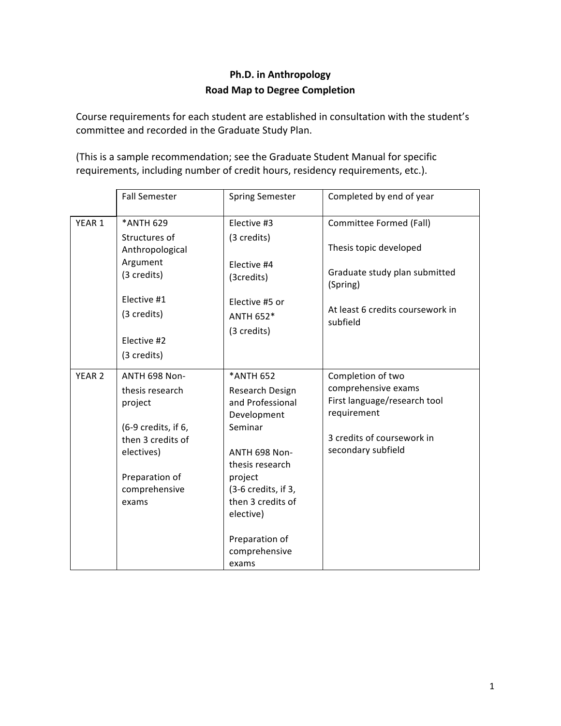## **Ph.D.** in Anthropology **Road Map to Degree Completion**

Course requirements for each student are established in consultation with the student's committee and recorded in the Graduate Study Plan.

(This is a sample recommendation; see the Graduate Student Manual for specific requirements, including number of credit hours, residency requirements, etc.).

|                   | <b>Fall Semester</b>             | <b>Spring Semester</b>                                | Completed by end of year                                           |
|-------------------|----------------------------------|-------------------------------------------------------|--------------------------------------------------------------------|
| YEAR 1            | *ANTH 629                        | Elective #3                                           | Committee Formed (Fall)                                            |
|                   | Structures of<br>Anthropological | (3 credits)                                           | Thesis topic developed                                             |
|                   | Argument<br>(3 credits)          | Flective #4<br>(3credits)                             | Graduate study plan submitted<br>(Spring)                          |
|                   | Elective #1<br>(3 credits)       | Elective #5 or<br><b>ANTH 652*</b><br>(3 credits)     | At least 6 credits coursework in<br>subfield                       |
|                   | Elective #2<br>(3 credits)       |                                                       |                                                                    |
| YEAR <sub>2</sub> | ANTH 698 Non-                    | *ANTH 652                                             | Completion of two                                                  |
|                   | thesis research<br>project       | Research Design<br>and Professional<br>Development    | comprehensive exams<br>First language/research tool<br>requirement |
|                   | (6-9 credits, if 6,              | Seminar                                               | 3 credits of coursework in                                         |
|                   | then 3 credits of<br>electives)  | ANTH 698 Non-<br>thesis research                      | secondary subfield                                                 |
|                   | Preparation of                   | project                                               |                                                                    |
|                   | comprehensive<br>exams           | (3-6 credits, if 3,<br>then 3 credits of<br>elective) |                                                                    |
|                   |                                  | Preparation of<br>comprehensive<br>exams              |                                                                    |